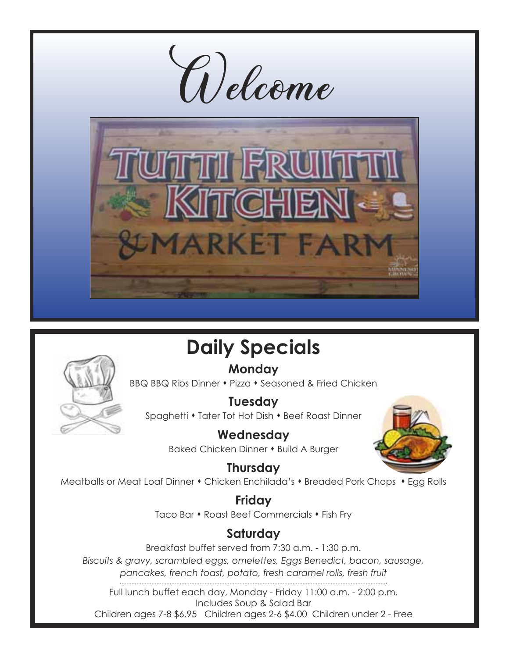

# **Daily Specials**

### **Monday**



BBQ BBQ Ribs Dinner • Pizza • Seasoned & Fried Chicken

**Tuesday** Spaghetti • Tater Tot Hot Dish • Beef Roast Dinner

> **Wednesday** Baked Chicken Dinner • Build A Burger



**Thursday** Meatballs or Meat Loaf Dinner • Chicken Enchilada's • Breaded Pork Chops • Egg Rolls

> **Friday** Taco Bar • Roast Beef Commercials • Fish Fry

### **Saturday**

Breakfast buffet served from 7:30 a.m. - 1:30 p.m. *Biscuits & gravy, scrambled eggs, omelettes, Eggs Benedict, bacon, sausage, pancakes, french toast, potato, fresh caramel rolls, fresh fruit*

Full lunch buffet each day, Monday - Friday 11:00 a.m. - 2:00 p.m. Includes Soup & Salad Bar Children ages 7-8 \$6.95 Children ages 2-6 \$4.00 Children under 2 - Free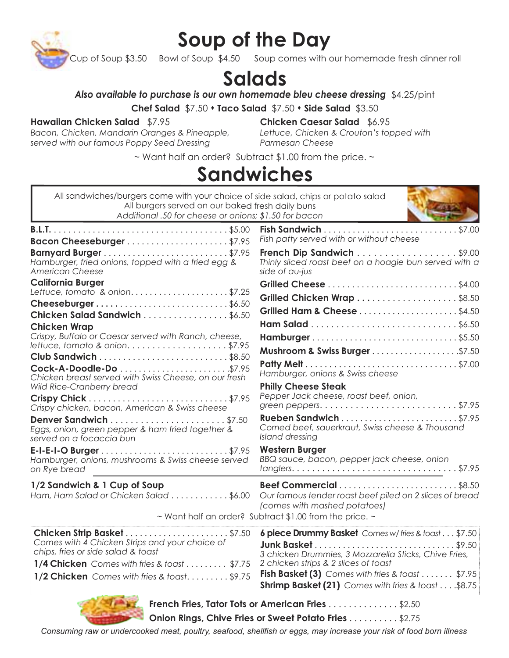

## **Soup of the Day**

up of Soup  $$3.50$  Bowl of Soup  $\bar{ }$  \$4.50 Soup comes with our homemade fresh dinner roll

### **Salads**

*Also available to purchase is our own homemade bleu cheese dressing* \$4.25/pint

**Chef Salad** \$7.50  $\cdot$  **Taco Salad** \$7.50  $\cdot$  **Side Salad** \$3.50

#### **Hawaiian Chicken Salad** \$7.95

*Bacon, Chicken, Mandarin Oranges & Pineapple, served with our famous Poppy Seed Dressing*

**Chicken Caesar Salad** \$6.95 *Lettuce, Chicken & Crouton's topped with Parmesan Cheese*

~ Want half an order? Subtract \$1.00 from the price. ~

### **Sandwiches**

| All sandwiches/burgers come with your choice of side salad, chips or potato salad<br>All burgers served on our baked fresh daily buns<br>Additional .50 for cheese or onions; \$1.50 for bacon |                                                                                                                             |
|------------------------------------------------------------------------------------------------------------------------------------------------------------------------------------------------|-----------------------------------------------------------------------------------------------------------------------------|
|                                                                                                                                                                                                | Fish patty served with or without cheese                                                                                    |
| Hamburger, fried onions, topped with a fried egg &<br><b>American Cheese</b>                                                                                                                   | French Dip Sandwich \$9.00<br>Thinly sliced roast beef on a hoagie bun served with a<br>side of au-jus                      |
| <b>California Burger</b>                                                                                                                                                                       |                                                                                                                             |
| Lettuce, tomato & onion. \$7.25                                                                                                                                                                | Grilled Chicken Wrap \$8.50                                                                                                 |
| Cheeseburger\$6.50<br>Chicken Salad Sandwich \$6.50                                                                                                                                            | <b>Grilled Ham &amp; Cheese \$4.50</b>                                                                                      |
| <b>Chicken Wrap</b>                                                                                                                                                                            |                                                                                                                             |
| Crispy, Buffalo or Caesar served with Ranch, cheese,                                                                                                                                           |                                                                                                                             |
| lettuce, tomato & onion\$7.95                                                                                                                                                                  |                                                                                                                             |
|                                                                                                                                                                                                |                                                                                                                             |
| Chicken breast served with Swiss Cheese, on our fresh                                                                                                                                          | Hamburger, onions & Swiss cheese                                                                                            |
| Wild Rice-Cranberry bread                                                                                                                                                                      | <b>Philly Cheese Steak</b>                                                                                                  |
| Crispy chicken, bacon, American & Swiss cheese                                                                                                                                                 | Pepper Jack cheese, roast beef, onion,<br>green peppers. $\ldots \ldots \ldots \ldots \ldots \ldots \ldots \ldots \$ \$7.95 |
| Eggs, onion, green pepper & ham fried together &<br>served on a focaccia bun                                                                                                                   | Rueben Sandwich \$7.95<br>Corned beef, sauerkraut, Swiss cheese & Thousand<br>Island dressing                               |
| Hamburger, onions, mushrooms & Swiss cheese served<br>on Rye bread                                                                                                                             | <b>Western Burger</b><br>BBQ sauce, bacon, pepper jack cheese, onion                                                        |
| 1/2 Sandwich & 1 Cup of Soup<br>Ham, Ham Salad or Chicken Salad \$6.00                                                                                                                         | Our famous tender roast beef piled on 2 slices of bread<br>(comes with mashed potatoes)                                     |
|                                                                                                                                                                                                | ~ Want half an order? Subtract \$1.00 from the price. ~                                                                     |
| Chicken Strip Basket\$7.50                                                                                                                                                                     | 6 piece Drummy Basket Comes w/fries & toast\$7.50                                                                           |
| Comes with 4 Chicken Strips and your choice of<br>chips, fries or side salad & toast                                                                                                           |                                                                                                                             |
| 1/4 Chicken Comes with fries & toast \$7.75                                                                                                                                                    | 3 chicken Drummies, 3 Mozzarella Sticks, Chive Fries,<br>2 chicken strips & 2 slices of toast                               |
| 1/2 Chicken Comes with fries & toast\$9.75                                                                                                                                                     | Fish Basket (3) Comes with fries & toast \$7.95<br><b>Shrimp Basket (21)</b> Comes with fries & toast \$8.75                |
|                                                                                                                                                                                                | French Fries, Tator Tots or American Fries \$2.50                                                                           |

**Onion Rings, Chive Fries or Sweet Potato Fries** . . . . . . . . . . \$2.75

*Consuming raw or undercooked meat, poultry, seafood, shellfish or eggs, may increase your risk of food born illness*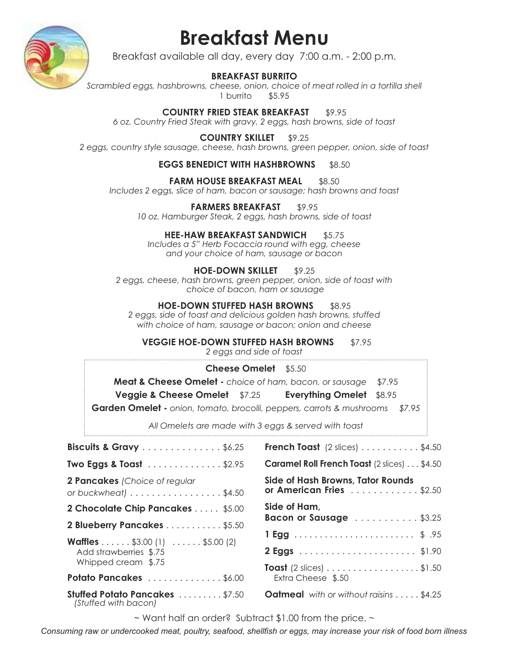

## **Breakfast Menu**

Breakfast available all day, every day 7:00 a.m. - 2:00 p.m.

#### **BREAKFAST BURRITO**

*Scrambled eggs, hashbrowns, cheese, onion, choice of meat rolled in a tortilla shell* 1 burrito \$5.95

**COUNTRY FRIED STEAK BREAKFAST \$9.95** *6 oz. Country Fried Steak with gravy, 2 eggs, hash browns, side of toast* 

**COUNTRY SKILLET** \$9.25

*2 eggs, country style sausage, cheese, hash browns, green pepper, onion, side of toast* 

#### **EGGS BENEDICT WITH HASHBROWNS** \$8.50

#### **FARM HOUSE BREAKFAST MEAL \$8.50**

*Includes 2 eggs, slice of ham, bacon or sausage; hash browns and toast*

#### **FARMERS BREAKFAST** \$9.95

*10 oz. Hamburger Steak, 2 eggs, hash browns, side of toast* 

#### **HEE-HAW BREAKFAST SANDWICH** \$5.75

*Includes a 5" Herb Focaccia round with egg, cheese and your choice of ham, sausage or bacon*

#### **HOE-DOWN SKILLET** \$9.25

*2 eggs, cheese, hash browns, green pepper, onion, side of toast with choice of bacon, ham or sausage*

**HOE-DOWN STUFFED HASH BROWNS** \$8.95 *2 eggs, side of toast and delicious golden hash browns, stuffed with choice of ham, sausage or bacon; onion and cheese*

**VEGGIE HOE-DOWN STUFFED HASH BROWNS** \$7.95

*2 eggs and side of toast*

#### **Cheese Omelet** \$5.50

**Meat & Cheese Omelet -** *choice of ham, bacon, or sausage* \$7.95

**Veggie & Cheese Omelet** \$7.25 **Everything Omelet** \$8.95

**Garden Omelet -** *onion, tomato, brocolli, peppers, carrots & mushrooms \$7.95*

*All Omelets are made with 3 eggs & served with toast*

| Biscuits & Gravy \$6.25                                                                               |
|-------------------------------------------------------------------------------------------------------|
| <b>Two Eggs &amp; Toast</b> \$2.95                                                                    |
| <b>2 Pancakes</b> (Choice of regular<br>or buckwheat $\}$ \$4.50                                      |
| 2 Chocolate Chip Pancakes \$5.00                                                                      |
| 2 Blueberry Pancakes \$5.50                                                                           |
| <b>Waffles</b> \$3.00 (1) $\ldots \ldots$ \$5.00 (2)<br>Add strawberries \$.75<br>Whipped cream \$.75 |
| Potato Pancakes \$6.00                                                                                |
| <b>Stuffed Potato Pancakes \$7.50</b><br>(Stuffed with bacon)                                         |

| <b>French Toast</b> (2 slices) $\ldots \ldots \ldots$ \$4.50                                |
|---------------------------------------------------------------------------------------------|
| <b>Caramel Roll French Toast</b> (2 slices) \$4.50                                          |
| Side of Hash Browns, Tator Rounds<br>or American Fries $\ldots \ldots \ldots \ldots$ \$2.50 |
| Side of Ham,<br>Bacon or Sausage \$3.25                                                     |
|                                                                                             |
|                                                                                             |
| <b>Toast</b> (2 slices) \$1.50<br>Extra Cheese \$.50                                        |
| <b>Oatmeal</b> with or without raisins \$4.25                                               |

 $\sim$  Want half an order? Subtract \$1.00 from the price.  $\sim$ 

*Consuming raw or undercooked meat, poultry, seafood, shellfish or eggs, may increase your risk of food born illness*